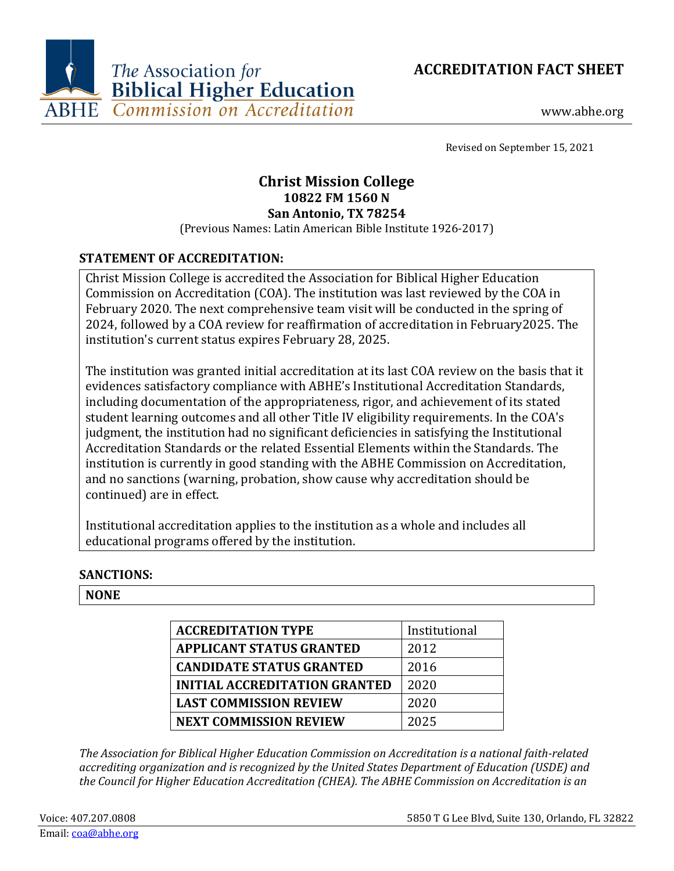



www.abhe.org

Revised on September 15, 2021

# **Christ Mission College 10822 FM 1560 N San Antonio, TX 78254**

(Previous Names: Latin American Bible Institute 1926-2017)

### **STATEMENT OF ACCREDITATION:**

Christ Mission College is accredited the Association for Biblical Higher Education Commission on Accreditation (COA). The institution was last reviewed by the COA in February 2020. The next comprehensive team visit will be conducted in the spring of 2024, followed by a COA review for reaffirmation of accreditation in February2025. The institution's current status expires February 28, 2025.

The institution was granted initial accreditation at its last COA review on the basis that it evidences satisfactory compliance with ABHE's Institutional Accreditation Standards, including documentation of the appropriateness, rigor, and achievement of its stated student learning outcomes and all other Title IV eligibility requirements. In the COA's judgment, the institution had no significant deficiencies in satisfying the Institutional Accreditation Standards or the related Essential Elements within the Standards. The institution is currently in good standing with the ABHE Commission on Accreditation, and no sanctions (warning, probation, show cause why accreditation should be continued) are in effect.

Institutional accreditation applies to the institution as a whole and includes all educational programs offered by the institution.

#### **SANCTIONS:**

#### **NONE**

| <b>ACCREDITATION TYPE</b>            | Institutional |
|--------------------------------------|---------------|
| <b>APPLICANT STATUS GRANTED</b>      | 2012          |
| <b>CANDIDATE STATUS GRANTED</b>      | 2016          |
| <b>INITIAL ACCREDITATION GRANTED</b> | 2020          |
| <b>LAST COMMISSION REVIEW</b>        | 2020          |
| <b>NEXT COMMISSION REVIEW</b>        | 2025          |

*The Association for Biblical Higher Education Commission on Accreditation is a national faith-related accrediting organization and is recognized by the United States Department of Education (USDE) and the Council for Higher Education Accreditation (CHEA). The ABHE Commission on Accreditation is an*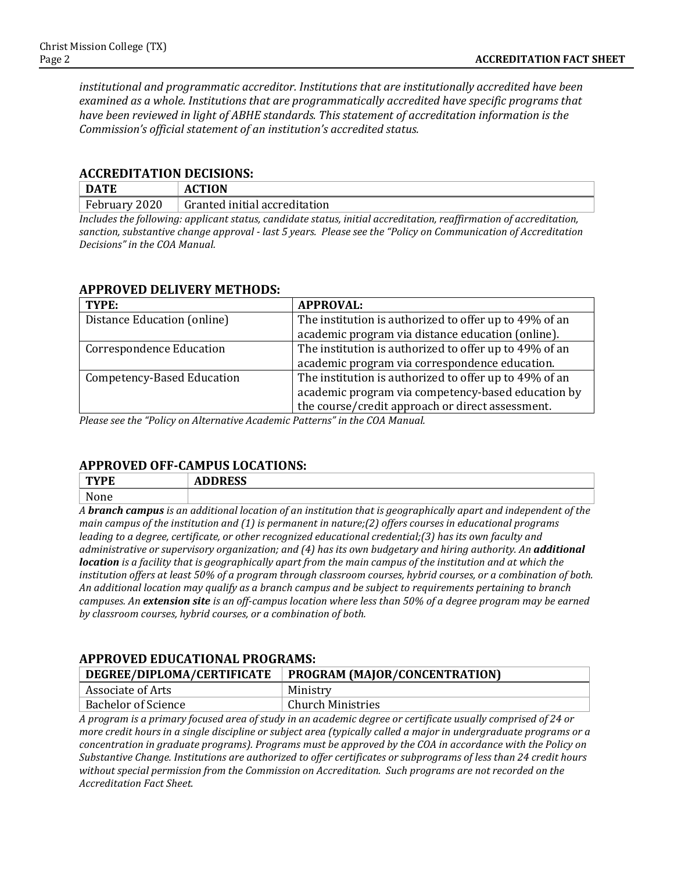*institutional and programmatic accreditor. Institutions that are institutionally accredited have been examined as a whole. Institutions that are programmatically accredited have specific programs that have been reviewed in light of ABHE standards. This statement of accreditation information is the Commission's official statement of an institution's accredited status.*

#### **ACCREDITATION DECISIONS:**

| <b>DATE</b>     | <b>ACTION</b>                          |  |  |  |
|-----------------|----------------------------------------|--|--|--|
| February 2020   | Granted initial accreditation          |  |  |  |
| , , , , , , , , | <b>T.T.</b> 1<br>$\sim$<br>.<br>,,,,,, |  |  |  |

*Includes the following: applicant status, candidate status, initial accreditation, reaffirmation of accreditation, sanction, substantive change approval - last 5 years. Please see the "Policy on Communication of Accreditation Decisions" in the COA Manual.*

#### **APPROVED DELIVERY METHODS:**

| TYPE:                           | <b>APPROVAL:</b>                                       |
|---------------------------------|--------------------------------------------------------|
| Distance Education (online)     | The institution is authorized to offer up to 49% of an |
|                                 | academic program via distance education (online).      |
| <b>Correspondence Education</b> | The institution is authorized to offer up to 49% of an |
|                                 | academic program via correspondence education.         |
| Competency-Based Education      | The institution is authorized to offer up to 49% of an |
|                                 | academic program via competency-based education by     |
|                                 | the course/credit approach or direct assessment.       |

*Please see the "Policy on Alternative Academic Patterns" in the COA Manual.*

### **APPROVED OFF-CAMPUS LOCATIONS:**

| None |  |
|------|--|
|      |  |

*A branch campus is an additional location of an institution that is geographically apart and independent of the main campus of the institution and (1) is permanent in nature;(2) offers courses in educational programs leading to a degree, certificate, or other recognized educational credential;(3) has its own faculty and administrative or supervisory organization; and (4) has its own budgetary and hiring authority. An additional location is a facility that is geographically apart from the main campus of the institution and at which the institution offers at least 50% of a program through classroom courses, hybrid courses, or a combination of both. An additional location may qualify as a branch campus and be subject to requirements pertaining to branch campuses. An extension site is an off-campus location where less than 50% of a degree program may be earned by classroom courses, hybrid courses, or a combination of both.*

## **APPROVED EDUCATIONAL PROGRAMS: DEGREE/DIPLOMA/CERTIFICATE PROGRAM (MAJOR/CONCENTRATION)**

| Associate of Arts          | Ministry              |
|----------------------------|-----------------------|
| <b>Bachelor of Science</b> | Ministries<br>`hurch- |

*A program is a primary focused area of study in an academic degree or certificate usually comprised of 24 or more credit hours in a single discipline or subject area (typically called a major in undergraduate programs or a concentration in graduate programs). Programs must be approved by the COA in accordance with the Policy on Substantive Change. Institutions are authorized to offer certificates or subprograms of less than 24 credit hours without special permission from the Commission on Accreditation. Such programs are not recorded on the Accreditation Fact Sheet.*